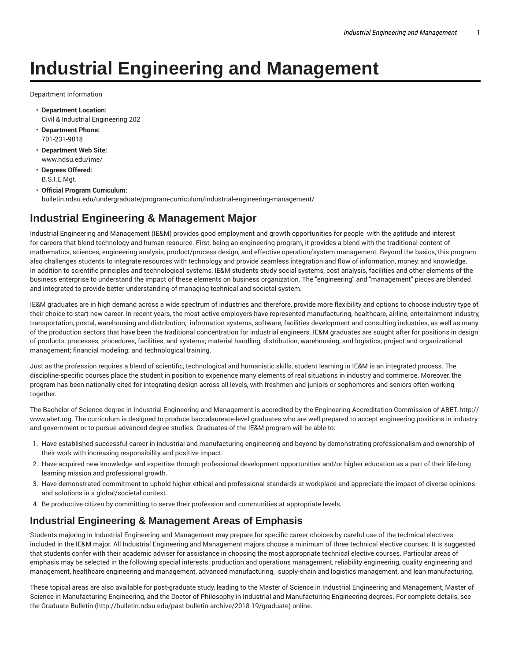# **Industrial Engineering and Management**

Department Information

- **Department Location:** Civil & Industrial Engineering 202
- **Department Phone:** 701-231-9818
- **Department Web Site:** www.ndsu.edu/ime/
- **Degrees Offered:** B.S.I.E.Mgt.
- **Official Program Curriculum:** bulletin.ndsu.edu/undergraduate/program-curriculum/industrial-engineering-management/

#### **Industrial Engineering & Management Major**

Industrial Engineering and Management (IE&M) provides good employment and growth opportunities for people with the aptitude and interest for careers that blend technology and human resource. First, being an engineering program, it provides a blend with the traditional content of mathematics, sciences, engineering analysis, product/process design, and effective operation/system management. Beyond the basics, this program also challenges students to integrate resources with technology and provide seamless integration and flow of information, money, and knowledge. In addition to scientific principles and technological systems, IE&M students study social systems, cost analysis, facilities and other elements of the business enterprise to understand the impact of these elements on business organization. The "engineering" and "management" pieces are blended and integrated to provide better understanding of managing technical and societal system.

IE&M graduates are in high demand across a wide spectrum of industries and therefore, provide more flexibility and options to choose industry type of their choice to start new career. In recent years, the most active employers have represented manufacturing, healthcare, airline, entertainment industry, transportation, postal, warehousing and distribution, information systems, software, facilities development and consulting industries, as well as many of the production sectors that have been the traditional concentration for industrial engineers. IE&M graduates are sought after for positions in design of products, processes, procedures, facilities, and systems; material handling, distribution, warehousing, and logistics; project and organizational management; financial modeling; and technological training.

Just as the profession requires a blend of scientific, technological and humanistic skills, student learning in IE&M is an integrated process. The discipline-specific courses place the student in position to experience many elements of real situations in industry and commerce. Moreover, the program has been nationally cited for integrating design across all levels, with freshmen and juniors or sophomores and seniors often working together.

The Bachelor of Science degree in Industrial Engineering and Management is accredited by the Engineering Accreditation Commission of ABET, http:// www.abet.org. The curriculum is designed to produce baccalaureate-level graduates who are well prepared to accept engineering positions in industry and government or to pursue advanced degree studies. Graduates of the IE&M program will be able to:

- 1. Have established successful career in industrial and manufacturing engineering and beyond by demonstrating professionalism and ownership of their work with increasing responsibility and positive impact.
- 2. Have acquired new knowledge and expertise through professional development opportunities and/or higher education as a part of their life-long learning mission and professional growth.
- 3. Have demonstrated commitment to uphold higher ethical and professional standards at workplace and appreciate the impact of diverse opinions and solutions in a global/societal context.
- 4. Be productive citizen by committing to serve their profession and communities at appropriate levels.

#### **Industrial Engineering & Management Areas of Emphasis**

Students majoring in Industrial Engineering and Management may prepare for specific career choices by careful use of the technical electives included in the IE&M major. All Industrial Engineering and Management majors choose a minimum of three technical elective courses. It is suggested that students confer with their academic adviser for assistance in choosing the most appropriate technical elective courses. Particular areas of emphasis may be selected in the following special interests: production and operations management, reliability engineering, quality engineering and management, healthcare engineering and management, advanced manufacturing, supply-chain and logistics management, and lean manufacturing.

These topical areas are also available for post-graduate study, leading to the Master of Science in Industrial Engineering and Management, Master of Science in Manufacturing Engineering, and the Doctor of Philosophy in Industrial and Manufacturing Engineering degrees. For complete details, see the Graduate Bulletin (http://bulletin.ndsu.edu/past-bulletin-archive/2018-19/graduate) online.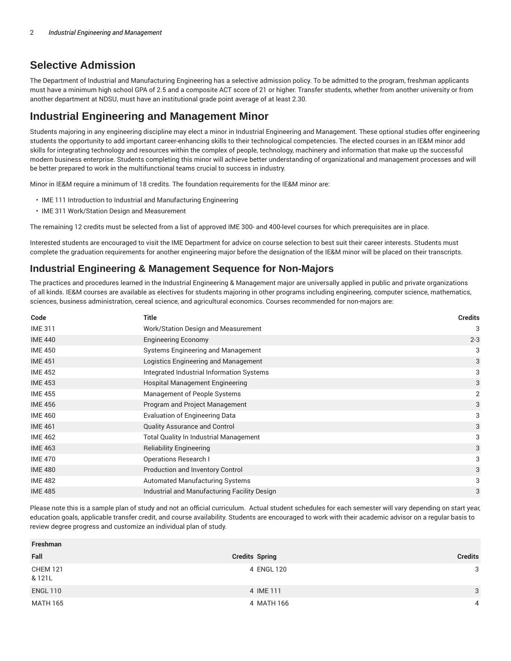## **Selective Admission**

The Department of Industrial and Manufacturing Engineering has a selective admission policy. To be admitted to the program, freshman applicants must have a minimum high school GPA of 2.5 and a composite ACT score of 21 or higher. Transfer students, whether from another university or from another department at NDSU, must have an institutional grade point average of at least 2.30.

## **Industrial Engineering and Management Minor**

Students majoring in any engineering discipline may elect a minor in Industrial Engineering and Management. These optional studies offer engineering students the opportunity to add important career-enhancing skills to their technological competencies. The elected courses in an IE&M minor add skills for integrating technology and resources within the complex of people, technology, machinery and information that make up the successful modern business enterprise. Students completing this minor will achieve better understanding of organizational and management processes and will be better prepared to work in the multifunctional teams crucial to success in industry.

Minor in IE&M require a minimum of 18 credits. The foundation requirements for the IE&M minor are:

- IME 111 Introduction to Industrial and Manufacturing Engineering
- IME 311 Work/Station Design and Measurement

The remaining 12 credits must be selected from a list of approved IME 300- and 400-level courses for which prerequisites are in place.

Interested students are encouraged to visit the IME Department for advice on course selection to best suit their career interests. Students must complete the graduation requirements for another engineering major before the designation of the IE&M minor will be placed on their transcripts.

### **Industrial Engineering & Management Sequence for Non-Majors**

The practices and procedures learned in the Industrial Engineering & Management major are universally applied in public and private organizations of all kinds. IE&M courses are available as electives for students majoring in other programs including engineering, computer science, mathematics, sciences, business administration, cereal science, and agricultural economics. Courses recommended for non-majors are:

| Code           | <b>Title</b>                                  | <b>Credits</b> |
|----------------|-----------------------------------------------|----------------|
| <b>IME 311</b> | Work/Station Design and Measurement           | 3              |
| <b>IME 440</b> | <b>Engineering Economy</b>                    | $2 - 3$        |
| <b>IME 450</b> | Systems Engineering and Management            | 3              |
| <b>IME 451</b> | Logistics Engineering and Management          | 3              |
| <b>IME 452</b> | Integrated Industrial Information Systems     | 3              |
| <b>IME 453</b> | Hospital Management Engineering               | 3              |
| <b>IME 455</b> | Management of People Systems                  | 2              |
| <b>IME 456</b> | Program and Project Management                | 3              |
| <b>IME 460</b> | <b>Evaluation of Engineering Data</b>         | 3              |
| <b>IME 461</b> | <b>Quality Assurance and Control</b>          | 3              |
| <b>IME 462</b> | <b>Total Quality In Industrial Management</b> | 3              |
| <b>IME 463</b> | <b>Reliability Engineering</b>                | 3              |
| <b>IME 470</b> | <b>Operations Research I</b>                  | 3              |
| <b>IME 480</b> | Production and Inventory Control              | 3              |
| <b>IME 482</b> | <b>Automated Manufacturing Systems</b>        | 3              |
| <b>IME 485</b> | Industrial and Manufacturing Facility Design  | 3              |

Please note this is a sample plan of study and not an official curriculum. Actual student schedules for each semester will vary depending on start year, education goals, applicable transfer credit, and course availability. Students are encouraged to work with their academic advisor on a regular basis to review degree progress and customize an individual plan of study.

| Freshman                  |                       |                |
|---------------------------|-----------------------|----------------|
| Fall                      | <b>Credits Spring</b> | <b>Credits</b> |
| <b>CHEM 121</b><br>& 121L | 4 ENGL 120            | 3              |
| <b>ENGL 110</b>           | 4 IME 111             | 3              |
| MATH 165                  | 4 MATH 166            | 4              |